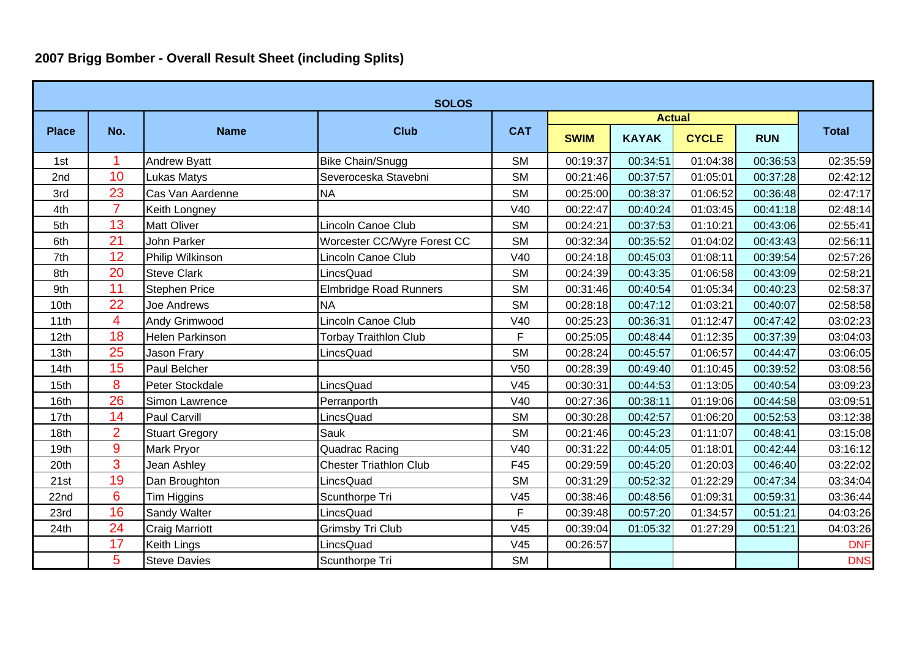## **2007 Brigg Bomber - Overall Result Sheet (including Splits)**

| <b>SOLOS</b> |                |                        |                               |                 |               |              |              |            |              |  |
|--------------|----------------|------------------------|-------------------------------|-----------------|---------------|--------------|--------------|------------|--------------|--|
|              | No.            | <b>Name</b>            | <b>Club</b>                   | <b>CAT</b>      | <b>Actual</b> |              |              |            |              |  |
| <b>Place</b> |                |                        |                               |                 | <b>SWIM</b>   | <b>KAYAK</b> | <b>CYCLE</b> | <b>RUN</b> | <b>Total</b> |  |
| 1st          |                | <b>Andrew Byatt</b>    | <b>Bike Chain/Snugg</b>       | <b>SM</b>       | 00:19:37      | 00:34:51     | 01:04:38     | 00:36:53   | 02:35:59     |  |
| 2nd          | 10             | <b>Lukas Matys</b>     | Severoceska Stavebni          | <b>SM</b>       | 00:21:46      | 00:37:57     | 01:05:01     | 00:37:28   | 02:42:12     |  |
| 3rd          | 23             | Cas Van Aardenne       | <b>NA</b>                     | <b>SM</b>       | 00:25:00      | 00:38:37     | 01:06:52     | 00:36:48   | 02:47:17     |  |
| 4th          | $\overline{7}$ | Keith Longney          |                               | V40             | 00:22:47      | 00:40:24     | 01:03:45     | 00:41:18   | 02:48:14     |  |
| 5th          | 13             | <b>Matt Oliver</b>     | Lincoln Canoe Club            | <b>SM</b>       | 00:24:21      | 00:37:53     | 01:10:21     | 00:43:06   | 02:55:41     |  |
| 6th          | 21             | John Parker            | Worcester CC/Wyre Forest CC   | <b>SM</b>       | 00:32:34      | 00:35:52     | 01:04:02     | 00:43:43   | 02:56:11     |  |
| 7th          | 12             | Philip Wilkinson       | Lincoln Canoe Club            | V40             | 00:24:18      | 00:45:03     | 01:08:11     | 00:39:54   | 02:57:26     |  |
| 8th          | 20             | <b>Steve Clark</b>     | LincsQuad                     | <b>SM</b>       | 00:24:39      | 00:43:35     | 01:06:58     | 00:43:09   | 02:58:21     |  |
| 9th          | 11             | <b>Stephen Price</b>   | <b>Elmbridge Road Runners</b> | <b>SM</b>       | 00:31:46      | 00:40:54     | 01:05:34     | 00:40:23   | 02:58:37     |  |
| 10th         | 22             | Joe Andrews            | <b>NA</b>                     | <b>SM</b>       | 00:28:18      | 00:47:12     | 01:03:21     | 00:40:07   | 02:58:58     |  |
| 11th         | 4              | Andy Grimwood          | Lincoln Canoe Club            | V40             | 00:25:23      | 00:36:31     | 01:12:47     | 00:47:42   | 03:02:23     |  |
| 12th         | 18             | <b>Helen Parkinson</b> | <b>Torbay Traithlon Club</b>  | F               | 00:25:05      | 00:48:44     | 01:12:35     | 00:37:39   | 03:04:03     |  |
| 13th         | 25             | Jason Frary            | LincsQuad                     | <b>SM</b>       | 00:28:24      | 00:45:57     | 01:06:57     | 00:44:47   | 03:06:05     |  |
| 14th         | 15             | Paul Belcher           |                               | V <sub>50</sub> | 00:28:39      | 00:49:40     | 01:10:45     | 00:39:52   | 03:08:56     |  |
| 15th         | 8              | Peter Stockdale        | LincsQuad                     | V45             | 00:30:31      | 00:44:53     | 01:13:05     | 00:40:54   | 03:09:23     |  |
| 16th         | 26             | Simon Lawrence         | Perranporth                   | V40             | 00:27:36      | 00:38:11     | 01:19:06     | 00:44:58   | 03:09:51     |  |
| 17th         | 14             | Paul Carvill           | LincsQuad                     | <b>SM</b>       | 00:30:28      | 00:42:57     | 01:06:20     | 00:52:53   | 03:12:38     |  |
| 18th         | $\overline{2}$ | <b>Stuart Gregory</b>  | Sauk                          | <b>SM</b>       | 00:21:46      | 00:45:23     | 01:11:07     | 00:48:41   | 03:15:08     |  |
| 19th         | 9              | <b>Mark Pryor</b>      | <b>Quadrac Racing</b>         | V40             | 00:31:22      | 00:44:05     | 01:18:01     | 00:42:44   | 03:16:12     |  |
| 20th         | 3              | Jean Ashley            | <b>Chester Triathlon Club</b> | F45             | 00:29:59      | 00:45:20     | 01:20:03     | 00:46:40   | 03:22:02     |  |
| 21st         | 19             | Dan Broughton          | LincsQuad                     | <b>SM</b>       | 00:31:29      | 00:52:32     | 01:22:29     | 00:47:34   | 03:34:04     |  |
| 22nd         | 6              | Tim Higgins            | Scunthorpe Tri                | V45             | 00:38:46      | 00:48:56     | 01:09:31     | 00:59:31   | 03:36:44     |  |
| 23rd         | 16             | <b>Sandy Walter</b>    | LincsQuad                     | F               | 00:39:48      | 00:57:20     | 01:34:57     | 00:51:21   | 04:03:26     |  |
| 24th         | 24             | <b>Craig Marriott</b>  | <b>Grimsby Tri Club</b>       | V <sub>45</sub> | 00:39:04      | 01:05:32     | 01:27:29     | 00:51:21   | 04:03:26     |  |
|              | 17             | <b>Keith Lings</b>     | LincsQuad                     | V45             | 00:26:57      |              |              |            | <b>DNF</b>   |  |
|              | 5              | <b>Steve Davies</b>    | Scunthorpe Tri                | <b>SM</b>       |               |              |              |            | <b>DNS</b>   |  |